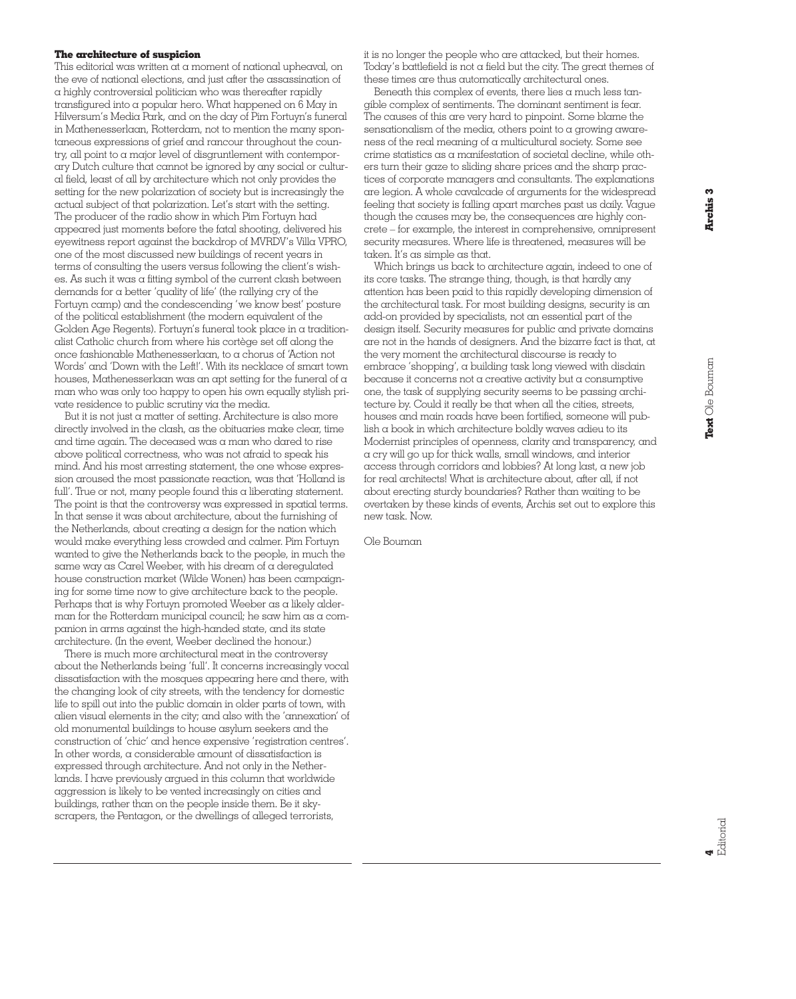## **The architecture of suspicion**

This editorial was written at a moment of national upheaval, on the eve of national elections, and just after the assassination of a highly controversial politician who was thereafter rapidly transfigured into a popular hero. What happened on 6 May in Hilversum's Media Park, and on the day of Pim Fortuyn's funeral in Mathenesserlaan, Rotterdam, not to mention the many spontaneous expressions of grief and rancour throughout the country, all point to a major level of disgruntlement with contemporary Dutch culture that cannot be ignored by any social or cultural field, least of all by architecture which not only provides the setting for the new polarization of society but is increasingly the actual subject of that polarization. Let's start with the setting. The producer of the radio show in which Pim Fortuyn had appeared just moments before the fatal shooting, delivered his eyewitness report against the backdrop of MVRDV's Villa VPRO, one of the most discussed new buildings of recent years in terms of consulting the users versus following the client's wishes. As such it was a fitting symbol of the current clash between demands for a better 'quality of life' (the rallying cry of the Fortuyn camp) and the condescending 'we know best' posture of the political establishment (the modern equivalent of the Golden Age Regents). Fortuyn's funeral took place in a traditionalist Catholic church from where his cortège set off along the once fashionable Mathenesserlaan, to a chorus of 'Action not Words' and 'Down with the Left!'. With its necklace of smart town houses, Mathenesserlaan was an apt setting for the funeral of a man who was only too happy to open his own equally stylish private residence to public scrutiny via the media.

But it is not just a matter of setting. Architecture is also more directly involved in the clash, as the obituaries make clear, time and time again. The deceased was a man who dared to rise above political correctness, who was not afraid to speak his mind. And his most arresting statement, the one whose expression aroused the most passionate reaction, was that 'Holland is full'. True or not, many people found this a liberating statement. The point is that the controversy was expressed in spatial terms. In that sense it was about architecture, about the furnishing of the Netherlands, about creating a design for the nation which would make everything less crowded and calmer. Pim Fortuyn wanted to give the Netherlands back to the people, in much the same way as Carel Weeber, with his dream of a deregulated house construction market (Wilde Wonen) has been campaigning for some time now to give architecture back to the people. Perhaps that is why Fortuyn promoted Weeber as a likely alderman for the Rotterdam municipal council; he saw him as  $\alpha$  companion in arms against the high-handed state, and its state architecture. (In the event, Weeber declined the honour.)

There is much more architectural meat in the controversy about the Netherlands being 'full'. It concerns increasingly vocal dissatisfaction with the mosques appearing here and there, with the changing look of city streets, with the tendency for domestic life to spill out into the public domain in older parts of town, with alien visual elements in the city; and also with the 'annexation' of old monumental buildings to house asylum seekers and the construction of 'chic' and hence expensive 'registration centres'. In other words, a considerable amount of dissatisfaction is expressed through architecture. And not only in the Netherlands. I have previously argued in this column that worldwide aggression is likely to be vented increasingly on cities and buildings, rather than on the people inside them. Be it skyscrapers, the Pentagon, or the dwellings of alleged terrorists,

it is no longer the people who are attacked, but their homes. Today's battlefield is not a field but the city. The great themes of these times are thus automatically architectural ones.

Beneath this complex of events, there lies a much less tangible complex of sentiments. The dominant sentiment is fear. The causes of this are very hard to pinpoint. Some blame the sensationalism of the media, others point to a growing awareness of the real meaning of a multicultural society. Some see crime statistics as a manifestation of societal decline, while others turn their gaze to sliding share prices and the sharp practices of corporate managers and consultants. The explanations are legion. A whole cavalcade of arguments for the widespread feeling that society is falling apart marches past us daily. Vague though the causes may be, the consequences are highly concrete – for example, the interest in comprehensive, omnipresent security measures. Where life is threatened, measures will be taken. It's as simple as that.

Which brings us back to architecture again, indeed to one of its core tasks. The strange thing, though, is that hardly any attention has been paid to this rapidly developing dimension of the architectural task. For most building designs, security is an add-on provided by specialists, not an essential part of the design itself. Security measures for public and private domains are not in the hands of designers. And the bizarre fact is that, at the very moment the architectural discourse is ready to embrace 'shopping', a building task long viewed with disdain because it concerns not a creative activity but a consumptive one, the task of supplying security seems to be passing architecture by. Could it really be that when all the cities, streets, houses and main roads have been fortified, someone will publish a book in which architecture boldly waves adieu to its Modernist principles of openness, clarity and transparency, and a cry will go up for thick walls, small windows, and interior access through corridors and lobbies? At long last, a new job for real architects! What is architecture about, after all, if not about erecting sturdy boundaries? Rather than waiting to be overtaken by these kinds of events, Archis set out to explore this new task. Now.

Ole Bouman